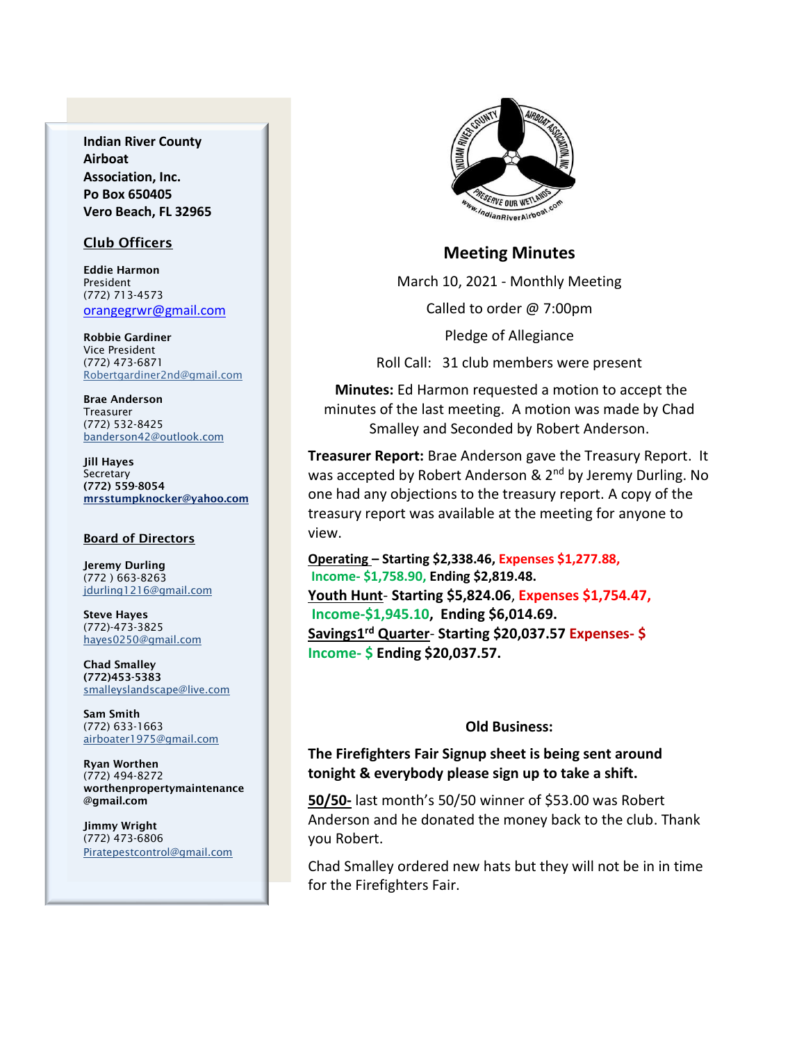**Indian River County Airboat Association, Inc. Po Box 650405 Vero Beach, FL 32965**

#### Club Officers

Eddie Harmon President (772) 713-4573 [orangegrwr@gmail.com](mailto:orangegrwr@gmail.com)

Robbie Gardiner Vice President (772) 473-6871 [Robertgardiner2nd@gmail.com](mailto:Robertgardiner2nd@gmail.com)

Brae Anderson Treasurer (772) 532-8425 [banderson42@outlook.com](mailto:banderson42@outlook.com)

Jill Hayes Secretary (772) 559-8054 mrsstumpknocker@yahoo.com

#### Board of Directors

Jeremy Durling (772 ) 663-8263 [jdurling1216@gmail.com](mailto:shufamil@peoplepc.com)

Steve Hayes (772)-473-3825 hayes0250@gmail.com

Chad Smalley (772)453-5383 smalleyslandscape@live.com

Sam Smith (772) 633-1663 [airboater1975@gmail.com](mailto:Airboater22@gmail.com)

Ryan Worthen (772) 494-8272 worthenpropertymaintenance @gmail.com

Jimmy Wright (772) 473-6806 Piratepestcontrol@gmail.com



### **Meeting Minutes**

March 10, 2021 - Monthly Meeting

Called to order @ 7:00pm

Pledge of Allegiance

Roll Call: 31 club members were present

**Minutes:** Ed Harmon requested a motion to accept the minutes of the last meeting. A motion was made by Chad Smalley and Seconded by Robert Anderson.

**Treasurer Report:** Brae Anderson gave the Treasury Report. It was accepted by Robert Anderson & 2<sup>nd</sup> by Jeremy Durling. No one had any objections to the treasury report. A copy of the treasury report was available at the meeting for anyone to view.

**Operating – Starting \$2,338.46, Expenses \$1,277.88, Income- \$1,758.90, Ending \$2,819.48. Youth Hunt**- **Starting \$5,824.06**, **Expenses \$1,754.47, Income-\$1,945.10, Ending \$6,014.69. Savings1 rd Quarter**- **Starting \$20,037.57 Expenses- \$ Income- \$ Ending \$20,037.57.**

#### **Old Business:**

# **The Firefighters Fair Signup sheet is being sent around tonight & everybody please sign up to take a shift.**

**50/50-** last month's 50/50 winner of \$53.00 was Robert Anderson and he donated the money back to the club. Thank you Robert.

Chad Smalley ordered new hats but they will not be in in time for the Firefighters Fair.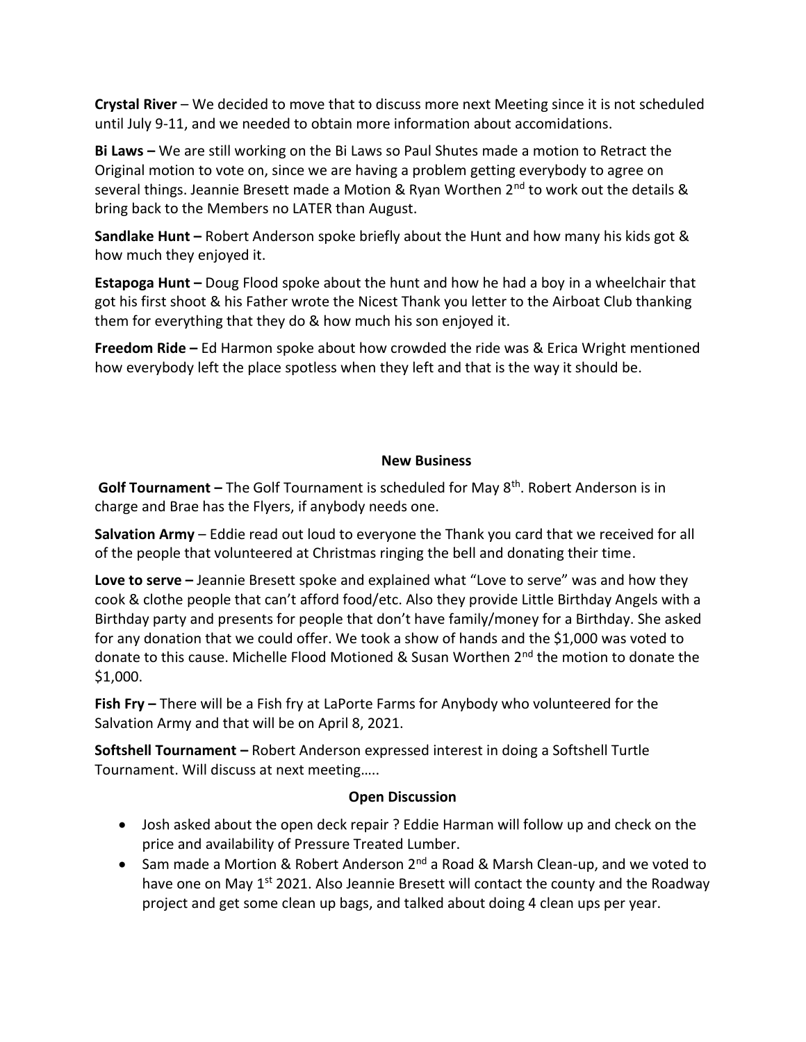**Crystal River** – We decided to move that to discuss more next Meeting since it is not scheduled until July 9-11, and we needed to obtain more information about accomidations.

**Bi Laws –** We are still working on the Bi Laws so Paul Shutes made a motion to Retract the Original motion to vote on, since we are having a problem getting everybody to agree on several things. Jeannie Bresett made a Motion & Ryan Worthen 2<sup>nd</sup> to work out the details & bring back to the Members no LATER than August.

**Sandlake Hunt –** Robert Anderson spoke briefly about the Hunt and how many his kids got & how much they enjoyed it.

**Estapoga Hunt –** Doug Flood spoke about the hunt and how he had a boy in a wheelchair that got his first shoot & his Father wrote the Nicest Thank you letter to the Airboat Club thanking them for everything that they do & how much his son enjoyed it.

**Freedom Ride –** Ed Harmon spoke about how crowded the ride was & Erica Wright mentioned how everybody left the place spotless when they left and that is the way it should be.

## **New Business**

**Golf Tournament –** The Golf Tournament is scheduled for May 8<sup>th</sup>. Robert Anderson is in charge and Brae has the Flyers, if anybody needs one.

**Salvation Army** – Eddie read out loud to everyone the Thank you card that we received for all of the people that volunteered at Christmas ringing the bell and donating their time.

**Love to serve –** Jeannie Bresett spoke and explained what "Love to serve" was and how they cook & clothe people that can't afford food/etc. Also they provide Little Birthday Angels with a Birthday party and presents for people that don't have family/money for a Birthday. She asked for any donation that we could offer. We took a show of hands and the \$1,000 was voted to donate to this cause. Michelle Flood Motioned & Susan Worthen 2<sup>nd</sup> the motion to donate the \$1,000.

**Fish Fry –** There will be a Fish fry at LaPorte Farms for Anybody who volunteered for the Salvation Army and that will be on April 8, 2021.

**Softshell Tournament –** Robert Anderson expressed interest in doing a Softshell Turtle Tournament. Will discuss at next meeting…..

## **Open Discussion**

- Josh asked about the open deck repair ? Eddie Harman will follow up and check on the price and availability of Pressure Treated Lumber.
- Sam made a Mortion & Robert Anderson 2<sup>nd</sup> a Road & Marsh Clean-up, and we voted to have one on May 1<sup>st</sup> 2021. Also Jeannie Bresett will contact the county and the Roadway project and get some clean up bags, and talked about doing 4 clean ups per year.